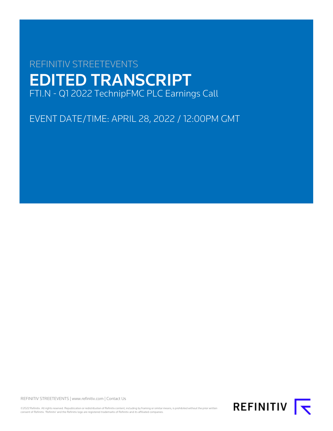# REFINITIV STREETEVENTS EDITED TRANSCRIPT FTI.N - Q1 2022 TechnipFMC PLC Earnings Call

EVENT DATE/TIME: APRIL 28, 2022 / 12:00PM GMT

REFINITIV STREETEVENTS | [www.refinitiv.com](https://www.refinitiv.com/) | [Contact Us](https://www.refinitiv.com/en/contact-us)

©2022 Refinitiv. All rights reserved. Republication or redistribution of Refinitiv content, including by framing or similar means, is prohibited without the prior written<br>consent of Refinitiv. 'Refinitiv' and the Refinitiv

REFINITIV **K**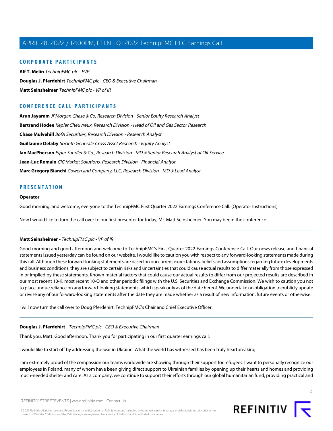# **CORPORATE PARTICIPANTS**

**[Alf T. Melin](#page-3-0)** TechnipFMC plc - EVP **[Douglas J. Pferdehirt](#page-1-0)** TechnipFMC plc - CEO & Executive Chairman **[Matt Seinsheimer](#page-1-1)** TechnipFMC plc - VP of IR

# **CONFERENCE CALL PARTICIPANTS**

**[Arun Jayaram](#page-6-0)** JPMorgan Chase & Co, Research Division - Senior Equity Research Analyst **[Bertrand Hodee](#page-10-0)** Kepler Cheuvreux, Research Division - Head of Oil and Gas Sector Research **[Chase Mulvehill](#page-8-0)** BofA Securities, Research Division - Research Analyst **[Guillaume Delaby](#page-7-0)** Societe Generale Cross Asset Research - Equity Analyst **[Ian MacPherson](#page-5-0)** Piper Sandler & Co., Research Division - MD & Senior Research Analyst of Oil Service **[Jean-Luc Romain](#page-11-0)** CIC Market Solutions, Research Division - Financial Analyst **[Marc Gregory Bianchi](#page-11-1)** Cowen and Company, LLC, Research Division - MD & Lead Analyst

# **PRESENTATION**

#### **Operator**

Good morning, and welcome, everyone to the TechnipFMC First Quarter 2022 Earnings Conference Call. (Operator Instructions)

<span id="page-1-1"></span>Now I would like to turn the call over to our first presenter for today, Mr. Matt Seinsheimer. You may begin the conference.

#### **Matt Seinsheimer** - TechnipFMC plc - VP of IR

Good morning and good afternoon and welcome to TechnipFMC's First Quarter 2022 Earnings Conference Call. Our news release and financial statements issued yesterday can be found on our website. I would like to caution you with respect to any forward-looking statements made during this call. Although these forward-looking statements are based on our current expectations, beliefs and assumptions regarding future developments and business conditions, they are subject to certain risks and uncertainties that could cause actual results to differ materially from those expressed in or implied by these statements. Known material factors that could cause our actual results to differ from our projected results are described in our most recent 10-K, most recent 10-Q and other periodic filings with the U.S. Securities and Exchange Commission. We wish to caution you not to place undue reliance on any forward-looking statements, which speak only as of the date hereof. We undertake no obligation to publicly update or revise any of our forward-looking statements after the date they are made whether as a result of new information, future events or otherwise.

<span id="page-1-0"></span>I will now turn the call over to Doug Pferdehirt, TechnipFMC's Chair and Chief Executive Officer.

#### **Douglas J. Pferdehirt** - TechnipFMC plc - CEO & Executive Chairman

Thank you, Matt. Good afternoon. Thank you for participating in our first quarter earnings call.

I would like to start off by addressing the war in Ukraine. What the world has witnessed has been truly heartbreaking.

I am extremely proud of the compassion our teams worldwide are showing through their support for refugees. I want to personally recognize our employees in Poland, many of whom have been giving direct support to Ukrainian families by opening up their hearts and homes and providing much-needed shelter and care. As a company, we continue to support their efforts through our global humanitarian fund, providing practical and

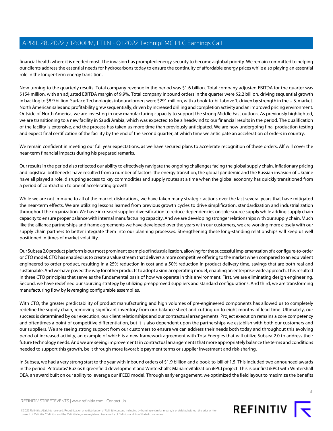financial health where it is needed most. The invasion has prompted energy security to become a global priority. We remain committed to helping our clients address the essential needs for hydrocarbons today to ensure the continuity of affordable energy prices while also playing an essential role in the longer-term energy transition.

Now turning to the quarterly results. Total company revenue in the period was \$1.6 billion. Total company adjusted EBITDA for the quarter was \$154 million, with an adjusted EBITDA margin of 9.9%. Total company inbound orders in the quarter were \$2.2 billion, driving sequential growth in backlog to \$8.9 billion. Surface Technologies inbound orders were \$291 million, with a book-to-bill above 1, driven by strength in the U.S. market. North American sales and profitability grew sequentially, driven by increased drilling and completion activity and an improved pricing environment. Outside of North America, we are investing in new manufacturing capacity to support the strong Middle East outlook. As previously highlighted, we are transitioning to a new facility in Saudi Arabia, which was expected to be a headwind to our financial results in the period. The qualification of the facility is extensive, and the process has taken us more time than previously anticipated. We are now undergoing final production testing and expect final certification of the facility by the end of the second quarter, at which time we anticipate an acceleration of orders in country.

We remain confident in meeting our full year expectations, as we have secured plans to accelerate recognition of these orders. Alf will cover the near-term financial impacts during his prepared remarks.

Our results in the period also reflected our ability to effectively navigate the ongoing challenges facing the global supply chain. Inflationary pricing and logistical bottlenecks have resulted from a number of factors: the energy transition, the global pandemic and the Russian invasion of Ukraine have all played a role, disrupting access to key commodities and supply routes at a time when the global economy has quickly transitioned from a period of contraction to one of accelerating growth.

While we are not immune to all of the market dislocations, we have taken many strategic actions over the last several years that have mitigated the near-term effects. We are utilizing lessons learned from previous growth cycles to drive simplification, standardization and industrialization throughout the organization. We have increased supplier diversification to reduce dependencies on sole-source supply while adding supply chain capacity to ensure proper balance with internal manufacturing capacity. And we are developing stronger relationships with our supply chain. Much like the alliance partnerships and frame agreements we have developed over the years with our customers, we are working more closely with our supply chain partners to better integrate them into our planning processes. Strengthening these long-standing relationships will keep us well positioned in times of market volatility.

Our Subsea 2.0 product platform is our most prominent example of industrialization, allowing for the successful implementation of a configure-to-order or CTO model. CTO has enabled us to create a value stream that delivers a more competitive offering to the market when compared to an equivalent engineered-to-order product, resulting in a 25% reduction in cost and a 50% reduction in product delivery time, savings that are both real and sustainable. And we have paved the way for other products to adopt a similar operating model, enabling an enterprise-wide approach. This resulted in three CTO principles that serve as the fundamental basis of how we operate in this environment. First, we are eliminating design engineering. Second, we have redefined our sourcing strategy by utilizing preapproved suppliers and standard configurations. And third, we are transforming manufacturing flow by leveraging configurable assemblies.

With CTO, the greater predictability of product manufacturing and high volumes of pre-engineered components has allowed us to completely redefine the supply chain, removing significant inventory from our balance sheet and cutting up to eight months of lead time. Ultimately, our success is determined by our execution, our client relationships and our contractual arrangements. Project execution remains a core competency and oftentimes a point of competitive differentiation, but it is also dependent upon the partnerships we establish with both our customers and our suppliers. We are seeing strong support from our customers to ensure we can address their needs both today and throughout this evolving period of increased activity, an example of which is a new framework agreement with TotalEnergies that will utilize Subsea 2.0 to address their future technology needs. And we are seeing improvements in contractual arrangements that more appropriately balance the terms and conditions needed to support this growth, be it through more favorable payment terms or supplier investment and risk-sharing.

In Subsea, we had a very strong start to the year with inbound orders of \$1.9 billion and a book-to-bill of 1.5. This included two announced awards in the period: Petrobras' Buzios 6 greenfield development and Wintershall's Maria revitalization iEPCI project. This is our first iEPCI with Wintershall DEA, an award built on our ability to leverage our iFEED model. Through early engagement, we optimized the field layout to maximize the benefits

©2022 Refinitiv. All rights reserved. Republication or redistribution of Refinitiv content, including by framing or similar means, is prohibited without the prior written consent of Refinitiv. 'Refinitiv' and the Refinitiv logo are registered trademarks of Refinitiv and its affiliated companies.

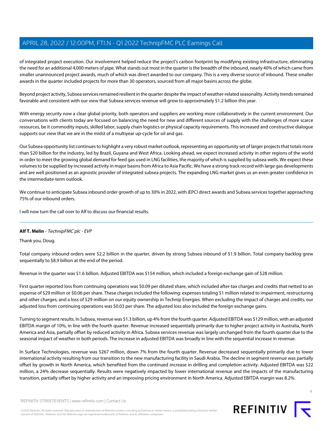of integrated project execution. Our involvement helped reduce the project's carbon footprint by modifying existing infrastructure, eliminating the need for an additional 4,000 meters of pipe. What stands out most in the quarter is the breadth of the inbound, nearly 40% of which came from smaller unannounced project awards, much of which was direct awarded to our company. This is a very diverse source of inbound. These smaller awards in the quarter included projects for more than 30 operators, sourced from all major basins across the globe.

Beyond project activity, Subsea services remained resilient in the quarter despite the impact of weather-related seasonality. Activity trends remained favorable and consistent with our view that Subsea services revenue will grow to approximately \$1.2 billion this year.

With energy security now a clear global priority, both operators and suppliers are working more collaboratively in the current environment. Our conversations with clients today are focused on balancing the need for new and different sources of supply with the challenges of more scarce resources, be it commodity inputs, skilled labor, supply chain logistics or physical capacity requirements. This increased and constructive dialogue supports our view that we are in the midst of a multiyear up-cycle for oil and gas.

Our Subsea opportunity list continues to highlight a very robust market outlook, representing an opportunity set of larger projects that totals more than \$20 billion for the industry, led by Brazil, Guyana and West Africa. Looking ahead, we expect increased activity in other regions of the world in order to meet the growing global demand for feed gas used in LNG facilities, the majority of which is supplied by subsea wells. We expect these volumes to be supplied by increased activity in major basins from Africa to Asia Pacific. We have a strong track record with large gas developments and are well positioned as an agnostic provider of integrated subsea projects. The expanding LNG market gives us an even greater confidence in the intermediate-term outlook.

We continue to anticipate Subsea inbound order growth of up to 30% in 2022, with iEPCI direct awards and Subsea services together approaching 75% of our inbound orders.

<span id="page-3-0"></span>I will now turn the call over to Alf to discuss our financial results.

# **Alf T. Melin** - TechnipFMC plc - EVP

Thank you, Doug.

Total company inbound orders were \$2.2 billion in the quarter, driven by strong Subsea inbound of \$1.9 billion. Total company backlog grew sequentially to \$8.9 billion at the end of the period.

Revenue in the quarter was \$1.6 billion. Adjusted EBITDA was \$154 million, which included a foreign exchange gain of \$28 million.

First quarter reported loss from continuing operations was \$0.09 per diluted share, which included after-tax charges and credits that netted to an expense of \$29 million or \$0.06 per share. These charges included the following: expenses totaling \$1 million related to impairment, restructuring and other charges; and a loss of \$29 million on our equity ownership in Technip Energies. When excluding the impact of charges and credits, our adjusted loss from continuing operations was \$0.03 per share. The adjusted loss also included the foreign exchange gains.

Turning to segment results. In Subsea, revenue was \$1.3 billion, up 4% from the fourth quarter. Adjusted EBITDA was \$129 million, with an adjusted EBITDA margin of 10%, in line with the fourth quarter. Revenue increased sequentially primarily due to higher project activity in Australia, North America and Asia, partially offset by reduced activity in Africa. Subsea services revenue was largely unchanged from the fourth quarter due to the seasonal impact of weather in both periods. The increase in adjusted EBITDA was broadly in line with the sequential increase in revenue.

In Surface Technologies, revenue was \$267 million, down 7% from the fourth quarter. Revenue decreased sequentially primarily due to lower international activity resulting from our transition to the new manufacturing facility in Saudi Arabia. The decline in segment revenue was partially offset by growth in North America, which benefited from the continued increase in drilling and completion activity. Adjusted EBITDA was \$22 million, a 24% decrease sequentially. Results were negatively impacted by lower international revenue and the impacts of the manufacturing transition, partially offset by higher activity and an improving pricing environment in North America. Adjusted EBITDA margin was 8.2%.

©2022 Refinitiv. All rights reserved. Republication or redistribution of Refinitiv content, including by framing or similar means, is prohibited without the prior written consent of Refinitiv. 'Refinitiv' and the Refinitiv logo are registered trademarks of Refinitiv and its affiliated companies.



 $\Delta$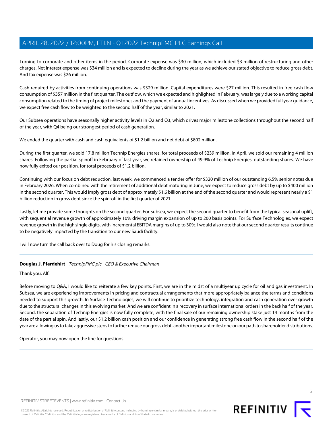Turning to corporate and other items in the period. Corporate expense was \$30 million, which included \$3 million of restructuring and other charges. Net interest expense was \$34 million and is expected to decline during the year as we achieve our stated objective to reduce gross debt. And tax expense was \$26 million.

Cash required by activities from continuing operations was \$329 million. Capital expenditures were \$27 million. This resulted in free cash flow consumption of \$357 million in the first quarter. The outflow, which we expected and highlighted in February, was largely due to a working capital consumption related to the timing of project milestones and the payment of annual incentives. As discussed when we provided full year guidance, we expect free cash flow to be weighted to the second half of the year, similar to 2021.

Our Subsea operations have seasonally higher activity levels in Q2 and Q3, which drives major milestone collections throughout the second half of the year, with Q4 being our strongest period of cash generation.

We ended the quarter with cash and cash equivalents of \$1.2 billion and net debt of \$802 million.

During the first quarter, we sold 17.8 million Technip Energies shares, for total proceeds of \$239 million. In April, we sold our remaining 4 million shares. Following the partial spinoff in February of last year, we retained ownership of 49.9% of Technip Energies' outstanding shares. We have now fully exited our position, for total proceeds of \$1.2 billion.

Continuing with our focus on debt reduction, last week, we commenced a tender offer for \$320 million of our outstanding 6.5% senior notes due in February 2026. When combined with the retirement of additional debt maturing in June, we expect to reduce gross debt by up to \$400 million in the second quarter. This would imply gross debt of approximately \$1.6 billion at the end of the second quarter and would represent nearly a \$1 billion reduction in gross debt since the spin-off in the first quarter of 2021.

Lastly, let me provide some thoughts on the second quarter. For Subsea, we expect the second quarter to benefit from the typical seasonal uplift, with sequential revenue growth of approximately 10% driving margin expansion of up to 200 basis points. For Surface Technologies, we expect revenue growth in the high single digits, with incremental EBITDA margins of up to 30%. I would also note that our second quarter results continue to be negatively impacted by the transition to our new Saudi facility.

I will now turn the call back over to Doug for his closing remarks.

# **Douglas J. Pferdehirt** - TechnipFMC plc - CEO & Executive Chairman

Thank you, Alf.

Before moving to Q&A, I would like to reiterate a few key points. First, we are in the midst of a multiyear up cycle for oil and gas investment. In Subsea, we are experiencing improvements in pricing and contractual arrangements that more appropriately balance the terms and conditions needed to support this growth. In Surface Technologies, we will continue to prioritize technology, integration and cash generation over growth due to the structural changes in this evolving market. And we are confident in a recovery in surface international orders in the back half of the year. Second, the separation of Technip Energies is now fully complete, with the final sale of our remaining ownership stake just 14 months from the date of the partial spin. And lastly, our \$1.2 billion cash position and our confidence in generating strong free cash flow in the second half of the year are allowing us to take aggressive steps to further reduce our gross debt, another important milestone on our path to shareholder distributions.

Operator, you may now open the line for questions.



REFINITIV STREETEVENTS | [www.refinitiv.com](https://www.refinitiv.com/) | [Contact Us](https://www.refinitiv.com/en/contact-us)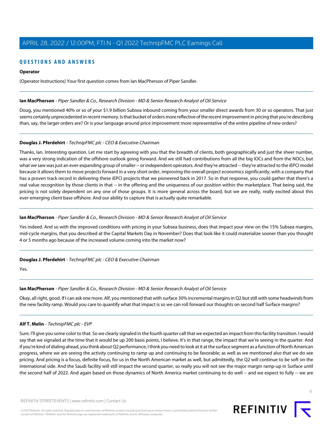# **QUESTIONS AND ANSWERS**

## **Operator**

(Operator Instructions) Your first question comes from Ian MacPherson of Piper Sandler.

#### <span id="page-5-0"></span>**Ian MacPherson** - Piper Sandler & Co., Research Division - MD & Senior Research Analyst of Oil Service

Doug, you mentioned 40% or so of your \$1.9 billion Subsea inbound coming from your smaller direct awards from 30 or so operators. That just seems certainly unprecedented in recent memory. Is that bucket of orders more reflective of the recent improvement in pricing that you're describing than, say, the larger orders are? Or is your language around price improvement more representative of the entire pipeline of new orders?

# **Douglas J. Pferdehirt** - TechnipFMC plc - CEO & Executive Chairman

Thanks, Ian. Interesting question. Let me start by agreeing with you that the breadth of clients, both geographically and just the sheer number, was a very strong indication of the offshore outlook going forward. And we still had contributions from all the big IOCs and from the NOCs, but what we saw was just an ever-expanding group of smaller -- or independent operators. And they're attracted -- they're attracted to the iEPCI model because it allows them to move projects forward in a very short order, improving the overall project economics significantly, with a company that has a proven track record in delivering these iEPCI projects that we pioneered back in 2017. So in that response, you could gather that there's a real value recognition by those clients in that -- in the offering and the uniqueness of our position within the marketplace. That being said, the pricing is not solely dependent on any one of those groups. It is more general across the board, but we are really, really excited about this ever-emerging client base offshore. And our ability to capture that is actually quite remarkable.

# **Ian MacPherson** - Piper Sandler & Co., Research Division - MD & Senior Research Analyst of Oil Service

Yes indeed. And so with the improved conditions with pricing in your Subsea business, does that impact your view on the 15% Subsea margins, mid-cycle margins, that you described at the Capital Markets Day in November? Does that look like it could materialize sooner than you thought 4 or 5 months ago because of the increased volume coming into the market now?

# **Douglas J. Pferdehirt** - TechnipFMC plc - CEO & Executive Chairman

Yes.

# **Ian MacPherson** - Piper Sandler & Co., Research Division - MD & Senior Research Analyst of Oil Service

Okay, all right, good. If I can ask one more. Alf, you mentioned that with surface 30% incremental margins in Q2 but still with some headwinds from the new facility ramp. Would you care to quantify what that impact is so we can roll forward our thoughts on second half Surface margins?

# **Alf T. Melin** - TechnipFMC plc - EVP

Sure. I'll give you some color to that. So we clearly signaled in the fourth quarter call that we expected an impact from this facility transition. I would say that we signaled at the time that it would be up 200 basis points, I believe. It's in that range, the impact that we're seeing in the quarter. And if you're kind of dialing ahead, you think about Q2 performance, I think you need to look at it at the surface segment as a function of North American progress, where we are seeing the activity continuing to ramp up and continuing to be favorable; as well as we mentioned also that we do see pricing. And pricing is a focus, definite focus, for us in the North American market as well, but admittedly, the Q2 will continue to be soft on the international side. And the Saudi facility will still impact the second quarter, so really you will not see the major margin ramp-up in Surface until the second half of 2022. And again based on those dynamics of North America market continuing to do well -- and we expect to fully -- we are

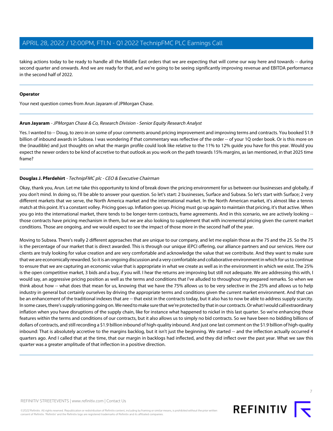taking actions today to be ready to handle all the Middle East orders that we are expecting that will come our way here and towards -- during second quarter and onwards. And we are ready for that, and we're going to be seeing significantly improving revenue and EBITDA performance in the second half of 2022.

## **Operator**

<span id="page-6-0"></span>Your next question comes from Arun Jayaram of JPMorgan Chase.

#### **Arun Jayaram** - JPMorgan Chase & Co, Research Division - Senior Equity Research Analyst

Yes. I wanted to -- Doug, to zero in on some of your comments around pricing improvement and improving terms and contracts. You booked \$1.9 billion of inbound awards in Subsea. I was wondering if that commentary was reflective of the order -- of your 1Q order book. Or is this more on the (inaudible) and just thoughts on what the margin profile could look like relative to the 11% to 12% guide you have for this year. Would you expect the newer orders to be kind of accretive to that outlook as you work on the path towards 15% margins, as Ian mentioned, in that 2025 time frame?

# **Douglas J. Pferdehirt** - TechnipFMC plc - CEO & Executive Chairman

Okay, thank you, Arun. Let me take this opportunity to kind of break down the pricing environment for us between our businesses and globally, if you don't mind. In doing so, I'll be able to answer your question. So let's start: 2 businesses, Surface and Subsea. So let's start with Surface; 2 very different markets that we serve, the North America market and the international market. In the North American market, it's almost like a tennis match at this point. It's a constant volley. Pricing goes up. Inflation goes up. Pricing must go up again to maintain that pricing, it's that active. When you go into the international market, there tends to be longer-term contracts, frame agreements. And in this scenario, we are actively looking - those contracts have pricing mechanism in them, but we are also looking to supplement that with incremental pricing given the current market conditions. Those are ongoing, and we would expect to see the impact of those more in the second half of the year.

Moving to Subsea. There's really 2 different approaches that are unique to our company, and let me explain those as the 75 and the 25. So the 75 is the percentage of our market that is direct awarded. This is through our unique iEPCI offering, our alliance partners and our services. Here our clients are truly looking for value creation and are very comfortable and acknowledge the value that we contribute. And they want to make sure that we are economically rewarded. So it is an ongoing discussion and a very comfortable and collaborative environment in which for us to continue to ensure that we are capturing an economic value that is appropriate in what we create as well as in the environment in which we exist. The 25% is the open competitive market, 3 bids and a buy, if you will. I hear the returns are improving but still not adequate. We are addressing this with, I would say, an aggressive pricing position as well as the terms and conditions that I've alluded to throughout my prepared remarks. So when we think about how -- what does that mean for us, knowing that we have the 75% allows us to be very selective in the 25% and allows us to help industry in general but certainly ourselves by driving the appropriate terms and conditions given the current market environment. And that can be an enhancement of the traditional indexes that are -- that exist in the contracts today, but it also has to now be able to address supply scarcity. In some cases, there's supply rationing going on. We need to make sure that we're protected by that in our contracts. Or what I would call extraordinary inflation when you have disruptions of the supply chain, like for instance what happened to nickel in this last quarter. So we're enhancing those features within the terms and conditions of our contracts, but it also allows us to simply no bid contracts. So we have been no bidding billions of dollars of contracts, and still recording a \$1.9 billion inbound of high-quality inbound. And just one last comment on the \$1.9 billion of high-quality inbound: That is absolutely accretive to the margins backlog, but it isn't just the beginning. We started -- and the inflection actually occurred 4 quarters ago. And I called that at the time, that our margin in backlogs had inflected, and they did inflect over the past year. What we saw this quarter was a greater amplitude of that inflection in a positive direction.

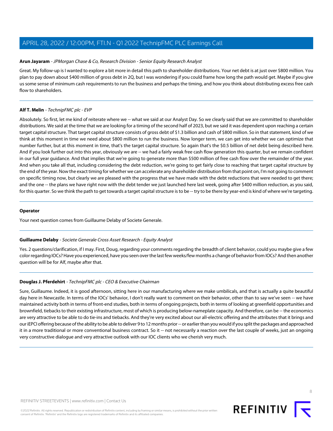## **Arun Jayaram** - JPMorgan Chase & Co, Research Division - Senior Equity Research Analyst

Great. My follow-up is I wanted to explore a bit more in detail this path to shareholder distributions. Your net debt is at just over \$800 million. You plan to pay down about \$400 million of gross debt in 2Q, but I was wondering if you could frame how long the path would get. Maybe if you give us some sense of minimum cash requirements to run the business and perhaps the timing, and how you think about distributing excess free cash flow to shareholders.

# **Alf T. Melin** - TechnipFMC plc - EVP

Absolutely. So first, let me kind of reiterate where we -- what we said at our Analyst Day. So we clearly said that we are committed to shareholder distributions. We said at the time that we are looking for a timing of the second half of 2023, but we said it was dependent upon reaching a certain target capital structure. That target capital structure consists of gross debt of \$1.3 billion and cash of \$800 million. So in that statement, kind of we think at this moment in time we need about \$800 million to run the business. Now longer term, we can get into whether we can optimize that number further, but at this moment in time, that's the target capital structure. So again that's the \$0.5 billion of net debt being described here. And if you look further out into this year, obviously we are -- we had a fairly weak free cash flow generation this quarter, but we remain confident in our full year guidance. And that implies that we're going to generate more than \$500 million of free cash flow over the remainder of the year. And when you take all that, including considering the debt reduction, we're going to get fairly close to reaching that target capital structure by the end of the year. Now the exact timing for whether we can accelerate any shareholder distribution from that point on, I'm not going to comment on specific timing now, but clearly we are pleased with the progress that we have made with the debt reductions that were needed to get there; and the one -- the plans we have right now with the debt tender we just launched here last week, going after \$400 million reduction, as you said, for this quarter. So we think the path to get towards a target capital structure is to be -- try to be there by year-end is kind of where we're targeting.

#### **Operator**

<span id="page-7-0"></span>Your next question comes from Guillaume Delaby of Societe Generale.

# **Guillaume Delaby** - Societe Generale Cross Asset Research - Equity Analyst

Yes. 2 questions/clarification, if I may. First, Doug, regarding your comments regarding the breadth of client behavior, could you maybe give a few color regarding IOCs? Have you experienced, have you seen over the last few weeks/few months a change of behavior from IOCs? And then another question will be for Alf, maybe after that.

# **Douglas J. Pferdehirt** - TechnipFMC plc - CEO & Executive Chairman

Sure, Guillaume. Indeed, it is good afternoon, sitting here in our manufacturing where we make umbilicals, and that is actually a quite beautiful day here in Newcastle. In terms of the IOCs' behavior, I don't really want to comment on their behavior, other than to say we've seen -- we have maintained activity both in terms of front-end studies, both in terms of ongoing projects, both in terms of looking at greenfield opportunities and brownfield, tiebacks to their existing infrastructure, most of which is producing below-nameplate capacity. And therefore, can be -- the economics are very attractive to be able to do tie-ins and tiebacks. And they're very excited about our all-electric offering and the attributes that it brings and our iEPCI offering because of the ability to be able to deliver 9 to 12 months prior -- or earlier than you would if you split the packages and approached it in a more traditional or more conventional business contract. So it -- not necessarily a reaction over the last couple of weeks, just an ongoing very constructive dialogue and very attractive outlook with our IOC clients who we cherish very much.

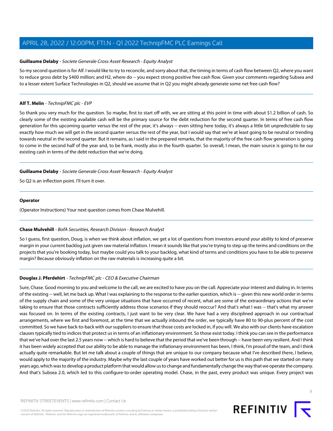#### **Guillaume Delaby** - Societe Generale Cross Asset Research - Equity Analyst

So my second question is for Alf. I would like to try to reconcile, and sorry about that, the timing in terms of cash flow between Q2, where you want to reduce gross debt by \$400 million; and H2, where do -- you expect strong positive free cash flow. Given your comments regarding Subsea and to a lesser extent Surface Technologies in Q2, should we assume that in Q2 you might already generate some net free cash flow?

## **Alf T. Melin** - TechnipFMC plc - EVP

So thank you very much for the question. So maybe, first to start off with, we are sitting at this point in time with about \$1.2 billion of cash. So clearly some of the existing available cash will be the primary source for the debt reduction for the second quarter. In terms of free cash flow generation for this upcoming quarter versus the rest of the year, it's always -- even sitting here today, it's always a little bit unpredictable to say exactly how much we will get in the second quarter versus the rest of the year, but I would say that we're at least going to be neutral or trending towards neutral in the second quarter. But it remains, as I said in the prepared remarks, that the majority of the free cash flow generation is going to come in the second half of the year and, to be frank, mostly also in the fourth quarter. So overall, I mean, the main source is going to be our existing cash in terms of the debt reduction that we're doing.

#### **Guillaume Delaby** - Societe Generale Cross Asset Research - Equity Analyst

So Q2 is an inflection point. I'll turn it over.

## **Operator**

<span id="page-8-0"></span>(Operator Instructions) Your next question comes from Chase Mulvehill.

# **Chase Mulvehill** - BofA Securities, Research Division - Research Analyst

So I guess, first question, Doug, is when we think about inflation, we get a lot of questions from investors around your ability to kind of preserve margin in your current backlog just given raw material inflation. I mean it sounds like that you're trying to step up the terms and conditions on the projects that you're booking today, but maybe could you talk to your backlog, what kind of terms and conditions you have to be able to preserve margin? Because obviously inflation on the raw materials is increasing quite a bit.

# **Douglas J. Pferdehirt** - TechnipFMC plc - CEO & Executive Chairman

Sure, Chase. Good morning to you and welcome to the call, we are excited to have you on the call. Appreciate your interest and dialing in. In terms of the existing -- well, let me back up. What I was explaining to the response to the earlier question, which is -- given this new world order in terms of the supply chain and some of the very unique situations that have occurred of recent, what are some of the extraordinary actions that we're taking to ensure that those contracts sufficiently address those scenarios if they should reoccur? And that's what I was -- that's what my answer was focused on. In terms of the existing contracts, I just want to be very clear. We have had a very disciplined approach in our contractual arrangements, where we first and foremost, at the time that we actually inbound the order, we typically have 80 to 90-plus percent of the cost committed. So we have back-to-back with our suppliers to ensure that those costs are locked in, if you will. We also with our clients have escalation clauses typically tied to indices that protect us in terms of an inflationary environment. So those exist today. I think you can see in the performance that we've had over the last 2.5 years now -- which is hard to believe that the period that we've been through -- have been very resilient. And I think it has been widely accepted that our ability to be able to manage the inflationary environment has been, I think, I'm proud of the team, and I think actually quite remarkable. But let me talk about a couple of things that are unique to our company because what I've described there, I believe, would apply to the majority of the industry. Maybe why the last couple of years have worked out better for us is this path that we started on many years ago, which was to develop a product platform that would allow us to change and fundamentally change the way that we operate the company. And that's Subsea 2.0, which led to this configure-to-order operating model. Chase, in the past, every product was unique. Every project was

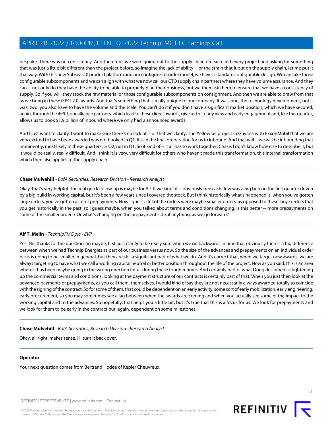bespoke. There was no consistency. And therefore, we were going out to the supply chain on each and every project and asking for something that was just a little bit different than the project before, so imagine the lack of ability -- or the strain that it put on the supply chain, let me put it that way. With this new Subsea 2.0 product platform and our configure-to-order model, we have a standard configurable design. We can take those configurable subcomponents and we can align with what we now call our CTO supply chain partners where they have volume assurance. And they can -- not only do they have the ability to be able to properly plan their business, but we then ask them to ensure that we have a consistency of supply. So if you will, they stock the raw material or those configurable subcomponents on consignment. And then we are able to draw from that as we bring in these iEPCI 2.0 awards. And that's something that is really unique to our company. It was, one, the technology development, but it was, two, you also have to have the volume and the scale. You can't do it if you don't have a significant market position, which we have secured, again, through the iEPCI, our alliance partners, which lead to these direct awards, give us this early view and early engagement and, like this quarter, allows us to book \$1.9 billion of inbound where we only had 2 announced awards.

And I just want to clarify. I want to make sure there's no lack of -- or that we clarify. The Yellowtail project in Guyana with ExxonMobil that we are very excited to have been awarded was not booked in Q1. It is in the final preparation for us to inbound. And that will -- we will be inbounding that imminently, most likely in these quarters, in Q2, not in Q1. So it kind of -- it all has to work together, Chase. I don't know how else to describe it, but it would be really, really difficult. And I think it is very, very difficult for others who haven't made this transformation, this internal transformation which then also applies to the supply chain.

#### **Chase Mulvehill** - BofA Securities, Research Division - Research Analyst

Okay, that's very helpful. The real quick follow-up is maybe for Alf. If we kind of -- obviously free cash flow was a big burn in the first quarter driven by a big build in working capital, but it's been a few years since I covered the stock. But I think historically what's happened is, when you've gotten large orders, you've gotten a lot of prepayments. Now I guess a lot of the orders were maybe smaller orders, as opposed to these large orders that you get historically in the past, so I guess maybe, when you talked about terms and conditions changing, is this better -- more prepayments on some of the smaller orders? Or what's changing on the prepayment side, if anything, as we go forward?

# **Alf T. Melin** - TechnipFMC plc - EVP

Yes. No, thanks for the question. So maybe, first, just clarify to be really sure when we go backwards in time that obviously there's a big difference between when we had Technip Energies as part of our business versus now. So the size of the advances and prepayments on an individual order basis is going to be smaller in general, but they are still a significant part of what we do. And it's correct that, when we target new awards, we are always targeting to have what we call a working capital neutral or better position throughout the life of the project. Now as you said, this is an area where it has been maybe going in the wrong direction for us during these tougher times. And certainly part of what Doug described as tightening up the commercial terms and conditions, looking at the payment structure of our contracts is certainly part of that. When you just then look at the advanced payments or prepayments, as you call them, themselves, I would kind of say they are not necessarily always awarded totally to coincide with the signing of the contract. So for some of them, that could be dependent on an early activity, some sort of early mobilization, early engineering, early procurement, so you may sometimes see a lag between when the awards are coming and when you actually see some of the impact to the working capital and to the advances. So hopefully, that helps you a little bit, but it's true that this is a focus for us. We look for prepayments and we look for them to be early in the contract but, again, dependent on some milestones.

#### **Chase Mulvehill** - BofA Securities, Research Division - Research Analyst

Okay, all right, makes sense. I'll turn it back over.

#### **Operator**

Your next question comes from Bertrand Hodee of Kepler Cheuvreux.

REFINITIV STREETEVENTS | [www.refinitiv.com](https://www.refinitiv.com/) | [Contact Us](https://www.refinitiv.com/en/contact-us)

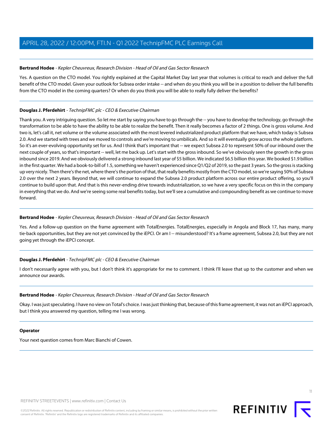# <span id="page-10-0"></span>**Bertrand Hodee** - Kepler Cheuvreux, Research Division - Head of Oil and Gas Sector Research

Yes. A question on the CTO model. You rightly explained at the Capital Market Day last year that volumes is critical to reach and deliver the full benefit of the CTO model. Given your outlook for Subsea order intake -- and when do you think you will be in a position to deliver the full benefits from the CTO model in the coming quarters? Or when do you think you will be able to really fully deliver the benefits?

# **Douglas J. Pferdehirt** - TechnipFMC plc - CEO & Executive Chairman

Thank you. A very intriguing question. So let me start by saying you have to go through the -- you have to develop the technology, go through the transformation to be able to have the ability to be able to realize the benefit. Then it really becomes a factor of 2 things. One is gross volume. And two is, let's call it, net volume or the volume associated with the most levered industrialized product platform that we have, which today is Subsea 2.0. And we started with trees and we moved to controls and we're moving to umbilicals. And so it will eventually grow across the whole platform. So it's an ever-evolving opportunity set for us. And I think that's important that -- we expect Subsea 2.0 to represent 50% of our inbound over the next couple of years, so that's important -- well, let me back up. Let's start with the gross inbound. So we've obviously seen the growth in the gross inbound since 2019. And we obviously delivered a strong inbound last year of \$5 billion. We indicated \$6.5 billion this year. We booked \$1.9 billion in the first quarter. We had a book-to-bill of 1.5, something we haven't experienced since Q1/Q2 of 2019, so the past 3 years. So the gross is stacking up very nicely. Then there's the net, where there's the portion of that, that really benefits mostly from the CTO model, so we're saying 50% of Subsea 2.0 over the next 2 years. Beyond that, we will continue to expand the Subsea 2.0 product platform across our entire product offering, so you'll continue to build upon that. And that is this never-ending drive towards industrialization, so we have a very specific focus on this in the company in everything that we do. And we're seeing some real benefits today, but we'll see a cumulative and compounding benefit as we continue to move forward.

# **Bertrand Hodee** - Kepler Cheuvreux, Research Division - Head of Oil and Gas Sector Research

Yes. And a follow-up question on the frame agreement with TotalEnergies. TotalEnergies, especially in Angola and Block 17, has many, many tie-back opportunities, but they are not yet convinced by the iEPCI. Or am I -- misunderstood? It's a frame agreement, Subsea 2.0, but they are not going yet through the iEPCI concept.

# **Douglas J. Pferdehirt** - TechnipFMC plc - CEO & Executive Chairman

I don't necessarily agree with you, but I don't think it's appropriate for me to comment. I think I'll leave that up to the customer and when we announce our awards.

# **Bertrand Hodee** - Kepler Cheuvreux, Research Division - Head of Oil and Gas Sector Research

Okay. I was just speculating. I have no view on Total's choice. I was just thinking that, because of this frame agreement, it was not an iEPCI approach, but I think you answered my question, telling me I was wrong.

# **Operator**

Your next question comes from Marc Bianchi of Cowen.

11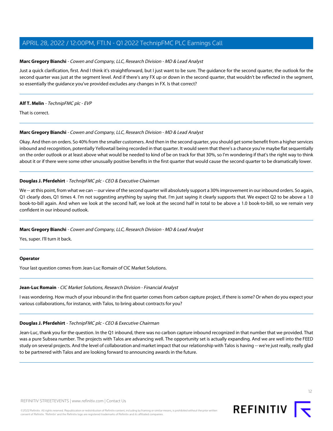# <span id="page-11-1"></span>**Marc Gregory Bianchi** - Cowen and Company, LLC, Research Division - MD & Lead Analyst

Just a quick clarification, first. And I think it's straightforward, but I just want to be sure. The guidance for the second quarter, the outlook for the second quarter was just at the segment level. And if there's any FX up or down in the second quarter, that wouldn't be reflected in the segment, so essentially the guidance you've provided excludes any changes in FX. Is that correct?

## **Alf T. Melin** - TechnipFMC plc - EVP

That is correct.

# **Marc Gregory Bianchi** - Cowen and Company, LLC, Research Division - MD & Lead Analyst

Okay. And then on orders. So 40% from the smaller customers. And then in the second quarter, you should get some benefit from a higher services inbound and recognition, potentially Yellowtail being recorded in that quarter. It would seem that there's a chance you're maybe flat sequentially on the order outlook or at least above what would be needed to kind of be on track for that 30%, so I'm wondering if that's the right way to think about it or if there were some other unusually positive benefits in the first quarter that would cause the second quarter to be dramatically lower.

# **Douglas J. Pferdehirt** - TechnipFMC plc - CEO & Executive Chairman

We -- at this point, from what we can -- our view of the second quarter will absolutely support a 30% improvement in our inbound orders. So again, Q1 clearly does, Q1 times 4. I'm not suggesting anything by saying that. I'm just saying it clearly supports that. We expect Q2 to be above a 1.0 book-to-bill again. And when we look at the second half, we look at the second half in total to be above a 1.0 book-to-bill, so we remain very confident in our inbound outlook.

# **Marc Gregory Bianchi** - Cowen and Company, LLC, Research Division - MD & Lead Analyst

Yes, super. I'll turn it back.

# <span id="page-11-0"></span>**Operator**

Your last question comes from Jean-Luc Romain of CIC Market Solutions.

# **Jean-Luc Romain** - CIC Market Solutions, Research Division - Financial Analyst

I was wondering. How much of your inbound in the first quarter comes from carbon capture project, if there is some? Or when do you expect your various collaborations, for instance, with Talos, to bring about contracts for you?

# **Douglas J. Pferdehirt** - TechnipFMC plc - CEO & Executive Chairman

Jean-Luc, thank you for the question. In the Q1 inbound, there was no carbon capture inbound recognized in that number that we provided. That was a pure Subsea number. The projects with Talos are advancing well. The opportunity set is actually expanding. And we are well into the FEED study on several projects. And the level of collaboration and market impact that our relationship with Talos is having -- we're just really, really glad to be partnered with Talos and are looking forward to announcing awards in the future.